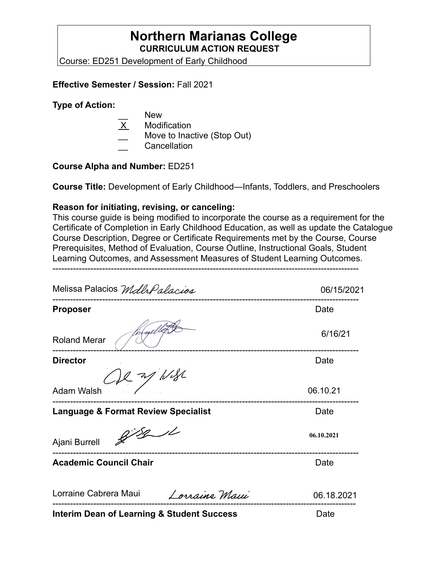## **Northern Marianas College CURRICULUM ACTION REQUEST**

Course: ED251 Development of Early Childhood

### **Effective Semester / Session:** Fall 2021

#### **Type of Action:**

- New
- X Modification
- Move to Inactive (Stop Out)
- \_\_ Cancellation

#### **Course Alpha and Number:** ED251

**Course Title:** Development of Early Childhood—Infants, Toddlers, and Preschoolers

### **Reason for initiating, revising, or canceling:**

This course guide is being modified to incorporate the course as a requirement for the Certificate of Completion in Early Childhood Education, as well as update the Catalogue Course Description, Degree or Certificate Requirements met by the Course, Course Prerequisites, Method of Evaluation, Course Outline, Instructional Goals, Student Learning Outcomes, and Assessment Measures of Student Learning Outcomes.

---------------------------------------------------------------------------------------------------------

| Melissa Palacios Malh Palacios                        | 06/15/2021 |
|-------------------------------------------------------|------------|
| <b>Proposer</b>                                       | Date       |
| <b>Roland Merar</b>                                   | 6/16/21    |
| <b>Director</b>                                       | Date       |
| $22$ m/ $1/32$<br><b>Adam Walsh</b>                   | 06.10.21   |
| <b>Language &amp; Format Review Specialist</b>        | Date       |
| 8/8/1<br>Ajani Burrell                                | 06.10.2021 |
| <b>Academic Council Chair</b>                         | Date       |
| Lorraine Cabrera Maui<br>Lorraine Maui                | 06.18.2021 |
| <b>Interim Dean of Learning &amp; Student Success</b> | Date       |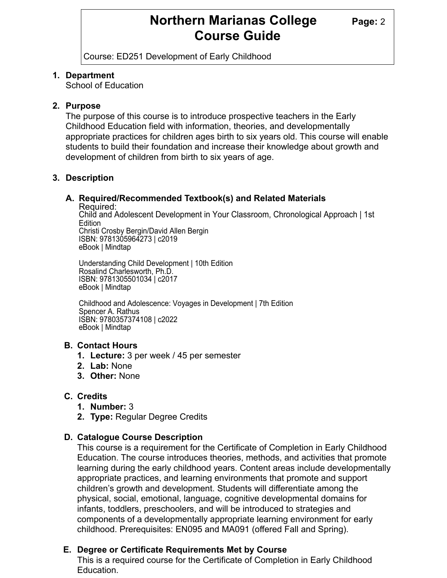# **Northern Marianas College Page: 2 Course Guide**

Course: ED251 Development of Early Childhood

### **1. Department**

School of Education

### **2. Purpose**

The purpose of this course is to introduce prospective teachers in the Early Childhood Education field with information, theories, and developmentally appropriate practices for children ages birth to six years old. This course will enable students to build their foundation and increase their knowledge about growth and development of children from birth to six years of age.

### **3. Description**

### **A. Required/Recommended Textbook(s) and Related Materials**

Required:

Child and Adolescent Development in Your Classroom, Chronological Approach | 1st Edition Christi Crosby Bergin/David Allen Bergin

ISBN: 9781305964273 | c2019 eBook | Mindtap

Understanding Child Development | 10th Edition Rosalind Charlesworth, Ph.D. ISBN: 9781305501034 | c2017 eBook | Mindtap

Childhood and Adolescence: Voyages in Development | 7th Edition Spencer A. Rathus ISBN: 9780357374108 | c2022 eBook | Mindtap

### **B. Contact Hours**

- **1. Lecture:** 3 per week / 45 per semester
- **2. Lab:** None
- **3. Other:** None

### **C. Credits**

- **1. Number:** 3
- **2. Type:** Regular Degree Credits

### **D. Catalogue Course Description**

This course is a requirement for the Certificate of Completion in Early Childhood Education. The course introduces theories, methods, and activities that promote learning during the early childhood years. Content areas include developmentally appropriate practices, and learning environments that promote and support children's growth and development. Students will differentiate among the physical, social, emotional, language, cognitive developmental domains for infants, toddlers, preschoolers, and will be introduced to strategies and components of a developmentally appropriate learning environment for early childhood. Prerequisites: EN095 and MA091 (offered Fall and Spring).

### **E. Degree or Certificate Requirements Met by Course**

This is a required course for the Certificate of Completion in Early Childhood Education.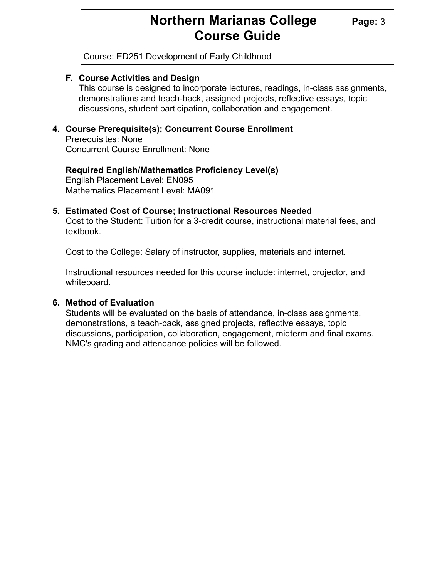# **Northern Marianas College** Page: 3 **Course Guide**

Course: ED251 Development of Early Childhood

### **F. Course Activities and Design**

This course is designed to incorporate lectures, readings, in-class assignments, demonstrations and teach-back, assigned projects, reflective essays, topic discussions, student participation, collaboration and engagement.

### **4. Course Prerequisite(s); Concurrent Course Enrollment**

Prerequisites: None Concurrent Course Enrollment: None

#### **Required English/Mathematics Proficiency Level(s)**  English Placement Level: EN095 Mathematics Placement Level: MA091

### **5. Estimated Cost of Course; Instructional Resources Needed**

Cost to the Student: Tuition for a 3-credit course, instructional material fees, and textbook.

Cost to the College: Salary of instructor, supplies, materials and internet.

Instructional resources needed for this course include: internet, projector, and whiteboard.

#### **6. Method of Evaluation**

Students will be evaluated on the basis of attendance, in-class assignments, demonstrations, a teach-back, assigned projects, reflective essays, topic discussions, participation, collaboration, engagement, midterm and final exams. NMC's grading and attendance policies will be followed.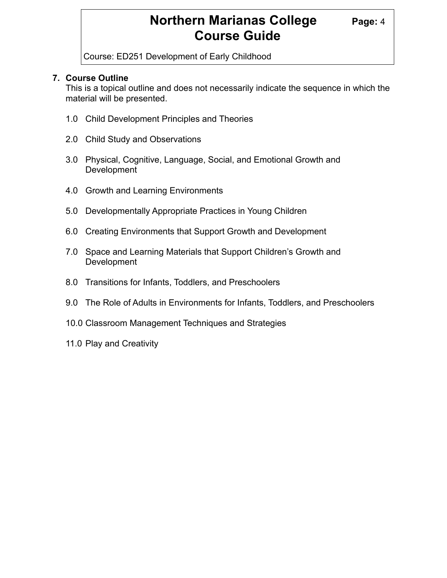# **Northern Marianas College Page: 4 Course Guide**

Course: ED251 Development of Early Childhood

### **7. Course Outline**

 This is a topical outline and does not necessarily indicate the sequence in which the material will be presented.

- 1.0 Child Development Principles and Theories
- 2.0 Child Study and Observations
- 3.0 Physical, Cognitive, Language, Social, and Emotional Growth and Development
- 4.0 Growth and Learning Environments
- 5.0 Developmentally Appropriate Practices in Young Children
- 6.0 Creating Environments that Support Growth and Development
- 7.0 Space and Learning Materials that Support Children's Growth and Development
- 8.0 Transitions for Infants, Toddlers, and Preschoolers
- 9.0 The Role of Adults in Environments for Infants, Toddlers, and Preschoolers
- 10.0 Classroom Management Techniques and Strategies
- 11.0 Play and Creativity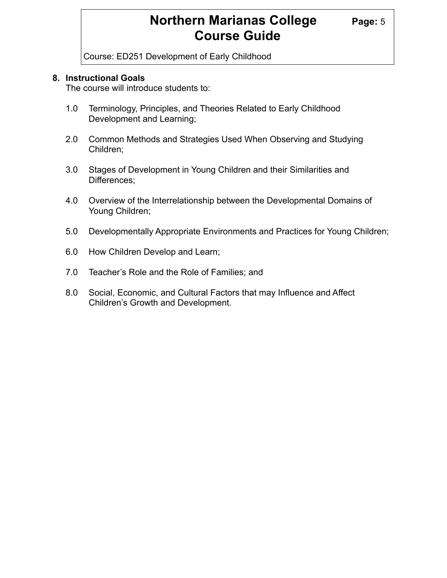# **Northern Marianas College Page: 5 Course Guide**

Course: ED251 Development of Early Childhood

### **8. Instructional Goals**

The course will introduce students to:

- 1.0 Terminology, Principles, and Theories Related to Early Childhood Development and Learning;
- 2.0 Common Methods and Strategies Used When Observing and Studying Children;
- 3.0 Stages of Development in Young Children and their Similarities and Differences;
- 4.0 Overview of the Interrelationship between the Developmental Domains of Young Children;
- 5.0 Developmentally Appropriate Environments and Practices for Young Children;
- 6.0 How Children Develop and Learn;
- 7.0 Teacher's Role and the Role of Families; and
- 8.0 Social, Economic, and Cultural Factors that may Influence and Affect Children's Growth and Development.